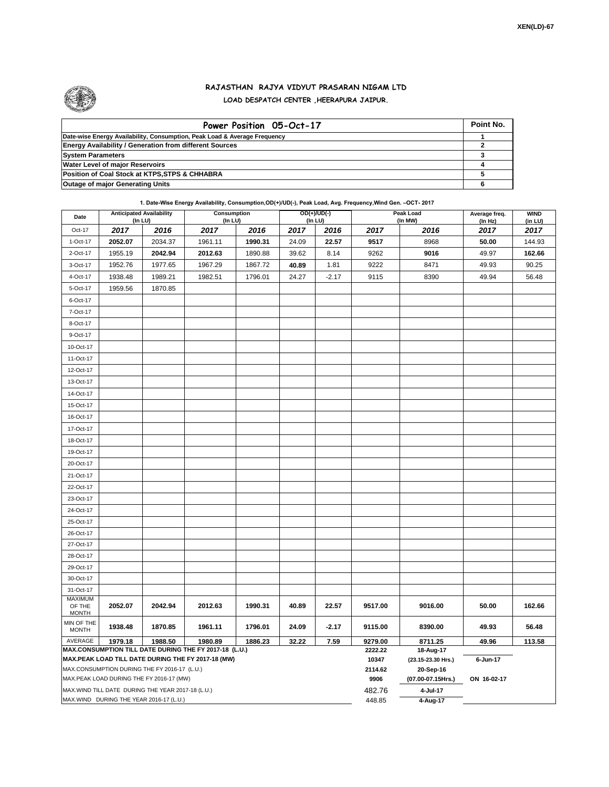

## **RAJASTHAN RAJYA VIDYUT PRASARAN NIGAM LTD LOAD DESPATCH CENTER ,HEERAPURA JAIPUR.**

| Power Position 05-Oct-17                                                  | Point No. |
|---------------------------------------------------------------------------|-----------|
| Date-wise Energy Availability, Consumption, Peak Load & Average Frequency |           |
| <b>Energy Availability / Generation from different Sources</b>            |           |
| <b>System Parameters</b>                                                  |           |
| <b>Water Level of major Reservoirs</b>                                    |           |
| Position of Coal Stock at KTPS, STPS & CHHABRA                            |           |
| <b>Outage of major Generating Units</b>                                   |           |

**1. Date-Wise Energy Availability, Consumption,OD(+)/UD(-), Peak Load, Avg. Frequency,Wind Gen. –OCT- 2017**

| Date                                                                                                         | <b>Anticipated Availability</b> | (In LU) | Consumption<br>(In LU) |         |       | $OD(+)/UD(-)$<br>(In LU) |                    | Peak Load<br>(In MW)            | Average freq.<br>(In Hz) | <b>WIND</b><br>(in LU) |
|--------------------------------------------------------------------------------------------------------------|---------------------------------|---------|------------------------|---------|-------|--------------------------|--------------------|---------------------------------|--------------------------|------------------------|
| Oct-17                                                                                                       | 2017                            | 2016    | 2017                   | 2016    | 2017  | 2016                     | 2017               | 2016                            | 2017                     | 2017                   |
| 1-Oct-17                                                                                                     | 2052.07                         | 2034.37 | 1961.11                | 1990.31 | 24.09 | 22.57                    | 9517               | 8968                            | 50.00                    | 144.93                 |
| 2-Oct-17                                                                                                     | 1955.19                         | 2042.94 | 2012.63                | 1890.88 | 39.62 | 8.14                     | 9262               | 9016                            | 49.97                    | 162.66                 |
| 3-Oct-17                                                                                                     | 1952.76                         | 1977.65 | 1967.29                | 1867.72 | 40.89 | 1.81                     | 9222               | 8471                            | 49.93                    | 90.25                  |
| 4-Oct-17                                                                                                     | 1938.48                         | 1989.21 | 1982.51                | 1796.01 | 24.27 | $-2.17$                  | 9115               | 8390                            | 49.94                    | 56.48                  |
| 5-Oct-17                                                                                                     | 1959.56                         | 1870.85 |                        |         |       |                          |                    |                                 |                          |                        |
| 6-Oct-17                                                                                                     |                                 |         |                        |         |       |                          |                    |                                 |                          |                        |
| 7-Oct-17                                                                                                     |                                 |         |                        |         |       |                          |                    |                                 |                          |                        |
| 8-Oct-17                                                                                                     |                                 |         |                        |         |       |                          |                    |                                 |                          |                        |
| 9-Oct-17                                                                                                     |                                 |         |                        |         |       |                          |                    |                                 |                          |                        |
| 10-Oct-17                                                                                                    |                                 |         |                        |         |       |                          |                    |                                 |                          |                        |
| 11-Oct-17                                                                                                    |                                 |         |                        |         |       |                          |                    |                                 |                          |                        |
| 12-Oct-17                                                                                                    |                                 |         |                        |         |       |                          |                    |                                 |                          |                        |
| 13-Oct-17                                                                                                    |                                 |         |                        |         |       |                          |                    |                                 |                          |                        |
| 14-Oct-17                                                                                                    |                                 |         |                        |         |       |                          |                    |                                 |                          |                        |
| 15-Oct-17                                                                                                    |                                 |         |                        |         |       |                          |                    |                                 |                          |                        |
| 16-Oct-17                                                                                                    |                                 |         |                        |         |       |                          |                    |                                 |                          |                        |
| 17-Oct-17                                                                                                    |                                 |         |                        |         |       |                          |                    |                                 |                          |                        |
| 18-Oct-17                                                                                                    |                                 |         |                        |         |       |                          |                    |                                 |                          |                        |
| 19-Oct-17                                                                                                    |                                 |         |                        |         |       |                          |                    |                                 |                          |                        |
| 20-Oct-17                                                                                                    |                                 |         |                        |         |       |                          |                    |                                 |                          |                        |
| 21-Oct-17                                                                                                    |                                 |         |                        |         |       |                          |                    |                                 |                          |                        |
| 22-Oct-17                                                                                                    |                                 |         |                        |         |       |                          |                    |                                 |                          |                        |
| 23-Oct-17                                                                                                    |                                 |         |                        |         |       |                          |                    |                                 |                          |                        |
| 24-Oct-17                                                                                                    |                                 |         |                        |         |       |                          |                    |                                 |                          |                        |
| 25-Oct-17                                                                                                    |                                 |         |                        |         |       |                          |                    |                                 |                          |                        |
| 26-Oct-17                                                                                                    |                                 |         |                        |         |       |                          |                    |                                 |                          |                        |
| 27-Oct-17                                                                                                    |                                 |         |                        |         |       |                          |                    |                                 |                          |                        |
| 28-Oct-17                                                                                                    |                                 |         |                        |         |       |                          |                    |                                 |                          |                        |
| 29-Oct-17                                                                                                    |                                 |         |                        |         |       |                          |                    |                                 |                          |                        |
| 30-Oct-17                                                                                                    |                                 |         |                        |         |       |                          |                    |                                 |                          |                        |
| 31-Oct-17                                                                                                    |                                 |         |                        |         |       |                          |                    |                                 |                          |                        |
| MAXIMUM<br>OF THE<br><b>MONTH</b>                                                                            | 2052.07                         | 2042.94 | 2012.63                | 1990.31 | 40.89 | 22.57                    | 9517.00            | 9016.00                         | 50.00                    | 162.66                 |
| MIN OF THE                                                                                                   |                                 |         |                        |         |       |                          |                    |                                 |                          |                        |
| <b>MONTH</b>                                                                                                 | 1938.48                         | 1870.85 | 1961.11                | 1796.01 | 24.09 | $-2.17$                  | 9115.00            | 8390.00                         | 49.93                    | 56.48                  |
| AVERAGE                                                                                                      | 1979.18                         | 1988.50 | 1980.89                | 1886.23 | 32.22 | 7.59                     | 9279.00<br>2222.22 | 8711.25                         | 49.96                    | 113.58                 |
| MAX.CONSUMPTION TILL DATE DURING THE FY 2017-18 (L.U.)<br>MAX.PEAK LOAD TILL DATE DURING THE FY 2017-18 (MW) |                                 |         |                        |         |       |                          |                    | 18-Aug-17<br>(23.15-23.30 Hrs.) | 6-Jun-17                 |                        |
| MAX.CONSUMPTION DURING THE FY 2016-17 (L.U.)                                                                 |                                 |         |                        |         |       |                          |                    | 20-Sep-16                       |                          |                        |
| MAX.PEAK LOAD DURING THE FY 2016-17 (MW)                                                                     |                                 |         |                        |         |       |                          |                    | (07.00-07.15Hrs.)               | ON 16-02-17              |                        |
| MAX. WIND TILL DATE DURING THE YEAR 2017-18 (L.U.)                                                           |                                 |         |                        |         |       |                          |                    | 4-Jul-17                        |                          |                        |
| MAX.WIND DURING THE YEAR 2016-17 (L.U.)                                                                      |                                 |         |                        |         |       |                          |                    | 4-Aug-17                        |                          |                        |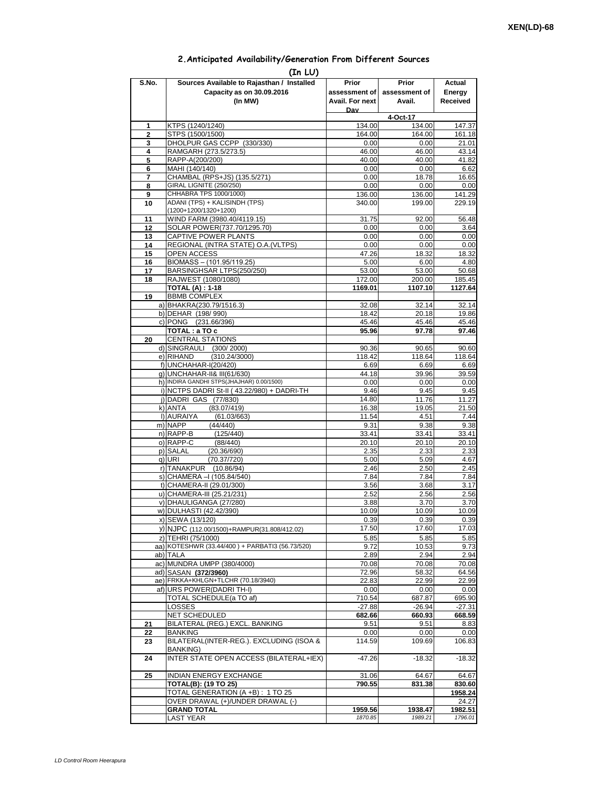## **2.Anticipated Availability/Generation From Different Sources**

| (In LU)        |                                                            |                 |                |                |  |  |  |  |  |
|----------------|------------------------------------------------------------|-----------------|----------------|----------------|--|--|--|--|--|
| S.No.          | Sources Available to Rajasthan / Installed                 | Prior           | Prior          | Actual         |  |  |  |  |  |
|                | Capacity as on 30.09.2016                                  | assessment of I | assessment of  | Energy         |  |  |  |  |  |
|                | (In MW)                                                    | Avail. For next | Avail.         | Received       |  |  |  |  |  |
|                |                                                            | Dav             | 4-Oct-17       |                |  |  |  |  |  |
| 1              | KTPS (1240/1240)                                           | 134.00          | 134.00         | 147.37         |  |  |  |  |  |
| $\overline{2}$ | STPS (1500/1500)                                           | 164.00          | 164.00         | 161.18         |  |  |  |  |  |
| 3              | DHOLPUR GAS CCPP (330/330)                                 | 0.00            | 0.00           | 21.01          |  |  |  |  |  |
| 4<br>5         | RAMGARH (273.5/273.5)<br>RAPP-A(200/200)                   | 46.00<br>40.00  | 46.00<br>40.00 | 43.14<br>41.82 |  |  |  |  |  |
| 6              | MAHI (140/140)                                             | 0.00            | 0.00           | 6.62           |  |  |  |  |  |
| 7              | CHAMBAL (RPS+JS) (135.5/271)                               | 0.00            | 18.78          | 16.65          |  |  |  |  |  |
| 8              | GIRAL LIGNITE (250/250)                                    | 0.00            | 0.00           | 0.00           |  |  |  |  |  |
| 9              | CHHABRA TPS 1000/1000)<br>ADANI (TPS) + KALISINDH (TPS)    | 136.00          | 136.00         | 141.29         |  |  |  |  |  |
| 10             | (1200+1200/1320+1200)                                      | 340.00          | 199.00         | 229.19         |  |  |  |  |  |
| 11             | WIND FARM (3980.40/4119.15)                                | 31.75           | 92.00          | 56.48          |  |  |  |  |  |
| 12             | SOLAR POWER(737.70/1295.70)                                | 0.00            | 0.00           | 3.64           |  |  |  |  |  |
| 13             | CAPTIVE POWER PLANTS                                       | 0.00            | 0.00           | 0.00           |  |  |  |  |  |
| 14<br>15       | REGIONAL (INTRA STATE) O.A. (VLTPS)<br><b>OPEN ACCESS</b>  | 0.00<br>47.26   | 0.00<br>18.32  | 0.00<br>18.32  |  |  |  |  |  |
| 16             | BIOMASS - (101.95/119.25)                                  | 5.00            | 6.00           | 4.80           |  |  |  |  |  |
| 17             | BARSINGHSAR LTPS(250/250)                                  | 53.00           | 53.00          | 50.68          |  |  |  |  |  |
| 18             | RAJWEST (1080/1080)                                        | 172.00          | 200.00         | 185.45         |  |  |  |  |  |
|                | <b>TOTAL (A): 1-18</b>                                     | 1169.01         | 1107.10        | 1127.64        |  |  |  |  |  |
| 19             | <b>BBMB COMPLEX</b>                                        |                 |                |                |  |  |  |  |  |
|                | a) BHAKRA(230.79/1516.3)<br>b) DEHAR (198/990)             | 32.08<br>18.42  | 32.14<br>20.18 | 32.14<br>19.86 |  |  |  |  |  |
|                | c) PONG (231.66/396)                                       | 45.46           | 45.46          | 45.46          |  |  |  |  |  |
|                | TOTAL: a TO c                                              | 95.96           | 97.78          | 97.46          |  |  |  |  |  |
| 20             | <b>CENTRAL STATIONS</b>                                    |                 |                |                |  |  |  |  |  |
|                | d) SINGRAULI (300/2000)                                    | 90.36           | 90.65          | 90.60          |  |  |  |  |  |
|                | e) RIHAND<br>(310.24/3000)<br>f) UNCHAHAR-I(20/420)        | 118.42<br>6.69  | 118.64<br>6.69 | 118.64<br>6.69 |  |  |  |  |  |
|                | g) UNCHAHAR-II& III(61/630)                                | 44.18           | 39.96          | 39.59          |  |  |  |  |  |
|                | h) INDIRA GANDHI STPS(JHAJHAR) 0.00/1500)                  | 0.00            | 0.00           | 0.00           |  |  |  |  |  |
|                | i) NCTPS DADRI St-II (43.22/980) + DADRI-TH                | 9.46            | 9.45           | 9.45           |  |  |  |  |  |
|                | j) DADRI GAS (77/830)                                      | 14.80           | 11.76          | 11.27          |  |  |  |  |  |
|                | (83.07/419)<br>k) ANTA<br>I) AURAIYA<br>(61.03/663)        | 16.38<br>11.54  | 19.05<br>4.51  | 21.50<br>7.44  |  |  |  |  |  |
|                | m) NAPP<br>(44/440)                                        | 9.31            | 9.38           | 9.38           |  |  |  |  |  |
|                | n) RAPP-B<br>(125/440)                                     | 33.41           | 33.41          | 33.41          |  |  |  |  |  |
|                | o) RAPP-C<br>(88/440)                                      | 20.10           | 20.10          | 20.10          |  |  |  |  |  |
|                | p) SALAL<br>(20.36/690)                                    | 2.35            | 2.33           | 2.33           |  |  |  |  |  |
|                | q) URI<br>(70.37/720)<br>r) TANAKPUR<br>(10.86/94)         | 5.00<br>2.46    | 5.09<br>2.50   | 4.67<br>2.45   |  |  |  |  |  |
|                | s) CHAMERA - (105.84/540)                                  | 7.84            | 7.84           | 7.84           |  |  |  |  |  |
|                | t) CHAMERA-II (29.01/300)                                  | 3.56            | 3.68           | 3.17           |  |  |  |  |  |
|                | u) CHAMERA-III (25.21/231)                                 | 2.52            | 2.56           | 2.56           |  |  |  |  |  |
|                | v) DHAULIGANGA (27/280)                                    | 3.88            | 3.70           | 3.70           |  |  |  |  |  |
|                | w) DULHASTI (42.42/390)<br>x) SEWA (13/120)                | 10.09<br>0.39   | 10.09<br>0.39  | 10.09<br>0.39  |  |  |  |  |  |
|                | y) NJPC (112.00/1500)+RAMPUR(31.808/412.02)                | 17.50           | 17.60          | 17.03          |  |  |  |  |  |
|                | z) TEHRI (75/1000)                                         | 5.85            | 5.85           | 5.85           |  |  |  |  |  |
|                | aa) KOTESHWR (33.44/400) + PARBATI3 (56.73/520)            | 9.72            | 10.53          | 9.73           |  |  |  |  |  |
|                | ab) TALA                                                   | 2.89            | 2.94           | 2.94           |  |  |  |  |  |
|                | ac) MUNDRA UMPP (380/4000)                                 | 70.08           | 70.08          | 70.08          |  |  |  |  |  |
|                | ad) SASAN (372/3960)<br>ae) FRKKA+KHLGN+TLCHR (70.18/3940) | 72.96<br>22.83  | 58.32<br>22.99 | 64.56<br>22.99 |  |  |  |  |  |
|                | af) URS POWER(DADRITH-I)                                   | 0.00            | 0.00           | 0.00           |  |  |  |  |  |
|                | TOTAL SCHEDULE(a TO af)                                    | 710.54          | 687.87         | 695.90         |  |  |  |  |  |
|                | LOSSES                                                     | $-27.88$        | $-26.94$       | $-27.31$       |  |  |  |  |  |
|                | <b>NET SCHEDULED</b>                                       | 682.66          | 660.93         | 668.59         |  |  |  |  |  |
| 21<br>22       | BILATERAL (REG.) EXCL. BANKING<br>BANKING                  | 9.51<br>0.00    | 9.51<br>0.00   | 8.83<br>0.00   |  |  |  |  |  |
| 23             | BILATERAL(INTER-REG.). EXCLUDING (ISOA &                   | 114.59          | 109.69         | 106.83         |  |  |  |  |  |
|                | BANKING)                                                   |                 |                |                |  |  |  |  |  |
| 24             | INTER STATE OPEN ACCESS (BILATERAL+IEX)                    | $-47.26$        | $-18.32$       | $-18.32$       |  |  |  |  |  |
| 25             | <b>INDIAN ENERGY EXCHANGE</b>                              | 31.06           | 64.67          | 64.67          |  |  |  |  |  |
|                | <b>TOTAL(B): (19 TO 25)</b>                                | 790.55          | 831.38         | 830.60         |  |  |  |  |  |
|                | TOTAL GENERATION (A +B) : 1 TO 25                          |                 |                | 1958.24        |  |  |  |  |  |
|                | OVER DRAWAL (+)/UNDER DRAWAL (-)                           |                 |                | 24.27          |  |  |  |  |  |
|                | <b>GRAND TOTAL</b>                                         | 1959.56         | 1938.47        | 1982.51        |  |  |  |  |  |
|                | <b>LAST YEAR</b>                                           | 1870.85         | 1989.21        | 1796.01        |  |  |  |  |  |